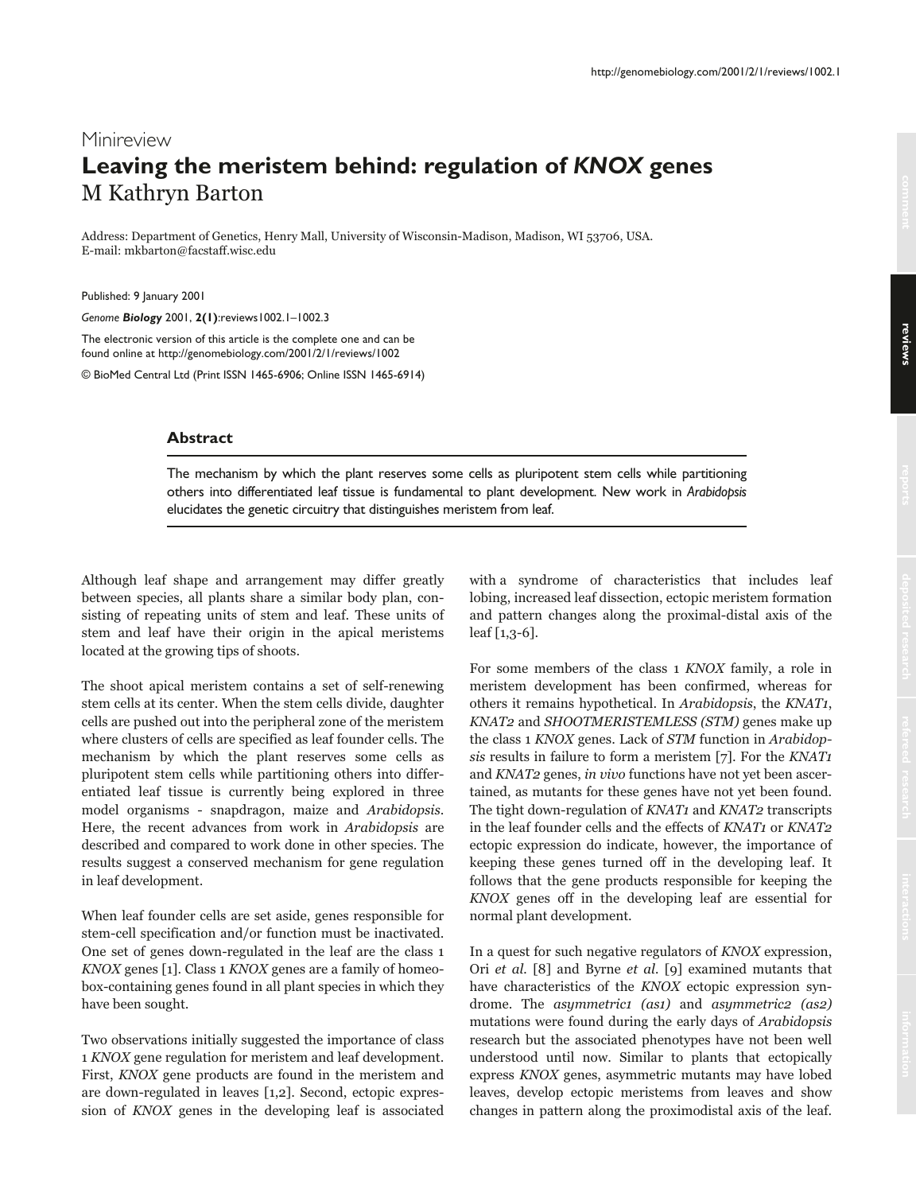# Minireview **Leaving the meristem behind: regulation of** *KNOX* **genes** M Kathryn Barton

Address: Department of Genetics, Henry Mall, University of Wisconsin-Madison, Madison, WI 53706, USA. E-mail: mkbarton@facstaff.wisc.edu

Published: 9 January 2001

*Genome Biology* 2001, **2(1)**:reviews1002.1–1002.3

The electronic version of this article is the complete one and can be found online at http://genomebiology.com/2001/2/1/reviews/1002

© BioMed Central Ltd (Print ISSN 1465-6906; Online ISSN 1465-6914)

## **Abstract**

The mechanism by which the plant reserves some cells as pluripotent stem cells while partitioning others into differentiated leaf tissue is fundamental to plant development. New work in *Arabidopsis* elucidates the genetic circuitry that distinguishes meristem from leaf.

Although leaf shape and arrangement may differ greatly between species, all plants share a similar body plan, consisting of repeating units of stem and leaf. These units of stem and leaf have their origin in the apical meristems located at the growing tips of shoots.

The shoot apical meristem contains a set of self-renewing stem cells at its center. When the stem cells divide, daughter cells are pushed out into the peripheral zone of the meristem where clusters of cells are specified as leaf founder cells. The mechanism by which the plant reserves some cells as pluripotent stem cells while partitioning others into differentiated leaf tissue is currently being explored in three model organisms - snapdragon, maize and Arabidopsis. Here, the recent advances from work in Arabidopsis are described and compared to work done in other species. The results suggest a conserved mechanism for gene regulation in leaf development.

When leaf founder cells are set aside, genes responsible for stem-cell specification and/or function must be inactivated. One set of genes down-regulated in the leaf are the class 1 KNOX genes [1]. Class 1 KNOX genes are a family of homeobox-containing genes found in all plant species in which they have been sought.

Two observations initially suggested the importance of class 1 KNOX gene regulation for meristem and leaf development. First, KNOX gene products are found in the meristem and are down-regulated in leaves [1,2]. Second, ectopic expression of KNOX genes in the developing leaf is associated with a syndrome of characteristics that includes leaf lobing, increased leaf dissection, ectopic meristem formation and pattern changes along the proximal-distal axis of the leaf [1,3-6].

For some members of the class 1 KNOX family, a role in meristem development has been confirmed, whereas for others it remains hypothetical. In Arabidopsis, the KNAT1, KNAT2 and SHOOTMERISTEMLESS (STM) genes make up the class 1 KNOX genes. Lack of STM function in Arabidopsis results in failure to form a meristem [7]. For the KNAT1 and KNAT2 genes, in vivo functions have not yet been ascertained, as mutants for these genes have not yet been found. The tight down-regulation of KNAT1 and KNAT2 transcripts in the leaf founder cells and the effects of KNAT1 or KNAT2 ectopic expression do indicate, however, the importance of keeping these genes turned off in the developing leaf. It follows that the gene products responsible for keeping the KNOX genes off in the developing leaf are essential for normal plant development.

In a quest for such negative regulators of KNOX expression, Ori et al. [8] and Byrne et al. [9] examined mutants that have characteristics of the KNOX ectopic expression syndrome. The *asymmetrici (asi)* and *asymmetric2 (as2)* mutations were found during the early days of Arabidopsis research but the associated phenotypes have not been well understood until now. Similar to plants that ectopically express KNOX genes, asymmetric mutants may have lobed leaves, develop ectopic meristems from leaves and show changes in pattern along the proximodistal axis of the leaf.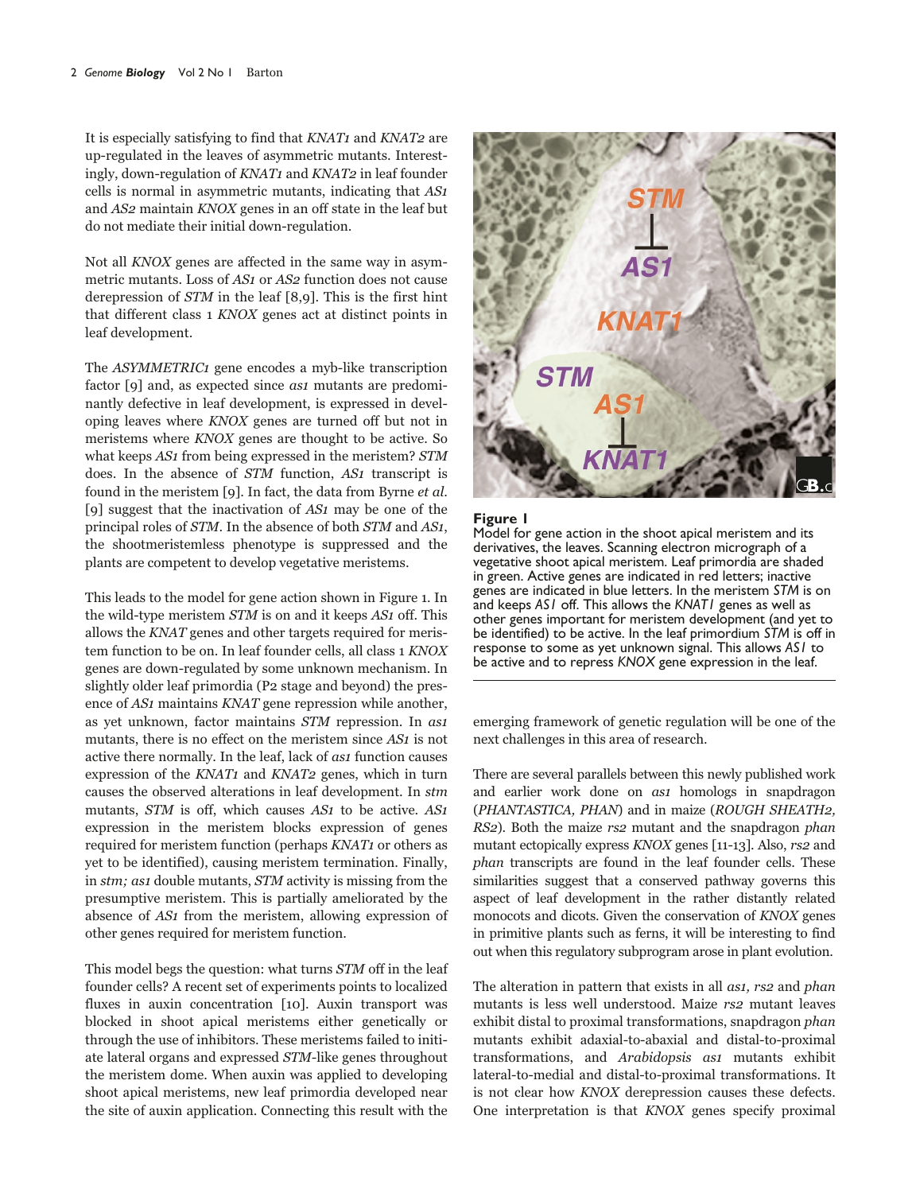It is especially satisfying to find that KNAT1 and KNAT2 are up-regulated in the leaves of asymmetric mutants. Interestingly, down-regulation of KNAT1 and KNAT2 in leaf founder cells is normal in asymmetric mutants, indicating that AS1 and AS2 maintain KNOX genes in an off state in the leaf but do not mediate their initial down-regulation.

Not all KNOX genes are affected in the same way in asymmetric mutants. Loss of AS1 or AS2 function does not cause derepression of STM in the leaf [8,9]. This is the first hint that different class 1 KNOX genes act at distinct points in leaf development.

The ASYMMETRIC1 gene encodes a myb-like transcription factor [9] and, as expected since *as1* mutants are predominantly defective in leaf development, is expressed in developing leaves where KNOX genes are turned off but not in meristems where KNOX genes are thought to be active. So what keeps AS1 from being expressed in the meristem? STM does. In the absence of STM function, AS1 transcript is found in the meristem [9]. In fact, the data from Byrne et al. [9] suggest that the inactivation of  $AS1$  may be one of the principal roles of STM. In the absence of both STM and AS1, the shootmeristemless phenotype is suppressed and the plants are competent to develop vegetative meristems.

This leads to the model for gene action shown in Figure 1. In the wild-type meristem *STM* is on and it keeps *AS*<sup>1</sup> off. This allows the KNAT genes and other targets required for meristem function to be on. In leaf founder cells, all class 1 KNOX genes are down-regulated by some unknown mechanism. In slightly older leaf primordia (P2 stage and beyond) the presence of AS1 maintains KNAT gene repression while another, as yet unknown, factor maintains STM repression. In as1 mutants, there is no effect on the meristem since AS1 is not active there normally. In the leaf, lack of as1 function causes expression of the  $KNAT1$  and  $KNAT2$  genes, which in turn causes the observed alterations in leaf development. In stm mutants, STM is off, which causes AS1 to be active. AS1 expression in the meristem blocks expression of genes required for meristem function (perhaps KNAT1 or others as yet to be identified), causing meristem termination. Finally, in stm; as1 double mutants, STM activity is missing from the presumptive meristem. This is partially ameliorated by the absence of AS1 from the meristem, allowing expression of other genes required for meristem function.

This model begs the question: what turns STM off in the leaf founder cells? A recent set of experiments points to localized fluxes in auxin concentration [10]. Auxin transport was blocked in shoot apical meristems either genetically or through the use of inhibitors. These meristems failed to initiate lateral organs and expressed STM-like genes throughout the meristem dome. When auxin was applied to developing shoot apical meristems, new leaf primordia developed near the site of auxin application. Connecting this result with the



#### **Figure 1**

Model for gene action in the shoot apical meristem and its derivatives, the leaves. Scanning electron micrograph of a vegetative shoot apical meristem. Leaf primordia are shaded in green. Active genes are indicated in red letters; inactive genes are indicated in blue letters. In the meristem *STM* is on and keeps *AS1* off. This allows the *KNAT1* genes as well as other genes important for meristem development (and yet to be identified) to be active. In the leaf primordium *STM* is off in response to some as yet unknown signal. This allows *AS1* to be active and to repress *KNOX* gene expression in the leaf.

emerging framework of genetic regulation will be one of the next challenges in this area of research.

There are several parallels between this newly published work and earlier work done on *asi* homologs in snapdragon (PHANTASTICA, PHAN) and in maize (ROUGH SHEATH2, RS2). Both the maize rs2 mutant and the snapdragon phan mutant ectopically express KNOX genes [11-13]. Also, rs2 and phan transcripts are found in the leaf founder cells. These similarities suggest that a conserved pathway governs this aspect of leaf development in the rather distantly related monocots and dicots. Given the conservation of KNOX genes in primitive plants such as ferns, it will be interesting to find out when this regulatory subprogram arose in plant evolution.

The alteration in pattern that exists in all *asi*, *rs2* and *phan* mutants is less well understood. Maize rs2 mutant leaves exhibit distal to proximal transformations, snapdragon phan mutants exhibit adaxial-to-abaxial and distal-to-proximal transformations, and Arabidopsis as1 mutants exhibit lateral-to-medial and distal-to-proximal transformations. It is not clear how KNOX derepression causes these defects. One interpretation is that KNOX genes specify proximal